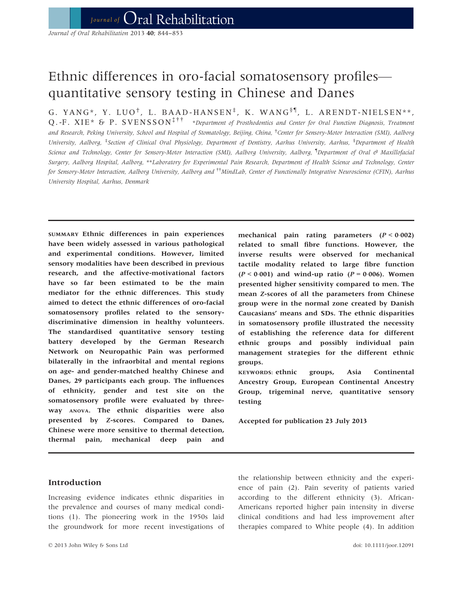Journal of Oral Rehabilitation 2013 40; 844-853

# Ethnic differences in oro-facial somatosensory profiles quantitative sensory testing in Chinese and Danes

G. YANG\*, Y. LUO<sup>†</sup>, L. BAAD-HANSEN<sup>‡</sup>, K. WANG<sup>§¶</sup>, L. ARENDT-NIELSEN\*\*,  $Q.-F. XIE^*$   $\sigma$  P. SVENSSON<sup>ࠠ</sup> \*Department of Prosthodontics and Center for Oral Function Diagnosis, Treatment and Research, Peking University, School and Hospital of Stomatology, Beijing, China, † Center for Sensory-Motor Interaction (SMI), Aalborg University, Aalborg, <sup>‡</sup>Section of Clinical Oral Physiology, Department of Dentistry, Aarhus University, Aarhus, <sup>§</sup>Department of Health Science and Technology, Center for Sensory-Motor Interaction (SMI), Aalborg University, Aalborg, <sup>¶</sup>Department of Oral & Maxillofaciai Surgery, Aalborg Hospital, Aalborg, \*\*Laboratory for Experimental Pain Research, Department of Health Science and Technology, Center for Sensory-Motor Interaction, Aalborg University, Aalborg and <sup>††</sup>MindLab, Center of Functionally Integrative Neuroscience (CFIN), Aarhus University Hospital, Aarhus, Denmark

SUMMARY Ethnic differences in pain experiences have been widely assessed in various pathological and experimental conditions. However, limited sensory modalities have been described in previous research, and the affective-motivational factors have so far been estimated to be the main mediator for the ethnic differences. This study aimed to detect the ethnic differences of oro-facial somatosensory profiles related to the sensorydiscriminative dimension in healthy volunteers. The standardised quantitative sensory testing battery developed by the German Research Network on Neuropathic Pain was performed bilaterally in the infraorbital and mental regions on age- and gender-matched healthy Chinese and Danes, 29 participants each group. The influences of ethnicity, gender and test site on the somatosensory profile were evaluated by threeway ANOVA. The ethnic disparities were also presented by Z-scores. Compared to Danes, Chinese were more sensitive to thermal detection, thermal pain, mechanical deep pain and mechanical pain rating parameters  $(P < 0.002)$ related to small fibre functions. However, the inverse results were observed for mechanical tactile modality related to large fibre function  $(P < 0.001)$  and wind-up ratio  $(P = 0.006)$ . Women presented higher sensitivity compared to men. The mean Z-scores of all the parameters from Chinese group were in the normal zone created by Danish Caucasians' means and SDs. The ethnic disparities in somatosensory profile illustrated the necessity of establishing the reference data for different ethnic groups and possibly individual pain management strategies for the different ethnic groups.

KEYWORDS: ethnic groups, Asia Continental Ancestry Group, European Continental Ancestry Group, trigeminal nerve, quantitative sensory testing

Accepted for publication 23 July 2013

# Introduction

Increasing evidence indicates ethnic disparities in the prevalence and courses of many medical conditions (1). The pioneering work in the 1950s laid the groundwork for more recent investigations of

the relationship between ethnicity and the experience of pain (2). Pain severity of patients varied according to the different ethnicity (3). African-Americans reported higher pain intensity in diverse clinical conditions and had less improvement after therapies compared to White people (4). In addition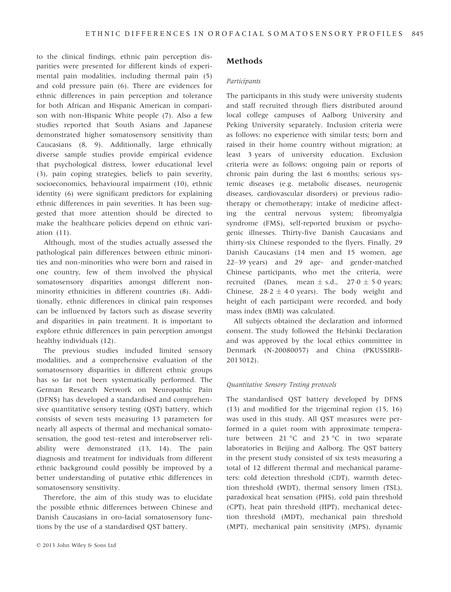to the clinical findings, ethnic pain perception disparities were presented for different kinds of experimental pain modalities, including thermal pain (5) and cold pressure pain (6). There are evidences for ethnic differences in pain perception and tolerance for both African and Hispanic American in comparison with non-Hispanic White people (7). Also a few studies reported that South Asians and Japanese demonstrated higher somatosensory sensitivity than Caucasians (8, 9). Additionally, large ethnically diverse sample studies provide empirical evidence that psychological distress, lower educational level (3), pain coping strategies, beliefs to pain severity, socioeconomics, behavioural impairment (10), ethnic identity (6) were significant predictors for explaining ethnic differences in pain severities. It has been suggested that more attention should be directed to make the healthcare policies depend on ethnic variation (11).

Although, most of the studies actually assessed the pathological pain differences between ethnic minorities and non-minorities who were born and raised in one country, few of them involved the physical somatosensory disparities amongst different nonminority ethnicities in different countries (8). Additionally, ethnic differences in clinical pain responses can be influenced by factors such as disease severity and disparities in pain treatment. It is important to explore ethnic differences in pain perception amongst healthy individuals (12).

The previous studies included limited sensory modalities, and a comprehensive evaluation of the somatosensory disparities in different ethnic groups has so far not been systematically performed. The German Research Network on Neuropathic Pain (DFNS) has developed a standardised and comprehensive quantitative sensory testing (QST) battery, which consists of seven tests measuring 13 parameters for nearly all aspects of thermal and mechanical somatosensation, the good test–retest and interobserver reliability were demonstrated (13, 14). The pain diagnosis and treatment for individuals from different ethnic background could possibly be improved by a better understanding of putative ethic differences in somatosensory sensitivity.

Therefore, the aim of this study was to elucidate the possible ethnic differences between Chinese and Danish Caucasians in oro-facial somatosensory functions by the use of a standardised QST battery.

# Methods

#### Participants

The participants in this study were university students and staff recruited through fliers distributed around local college campuses of Aalborg University and Peking University separately. Inclusion criteria were as follows: no experience with similar tests; born and raised in their home country without migration; at least 3 years of university education. Exclusion criteria were as follows: ongoing pain or reports of chronic pain during the last 6 months; serious systemic diseases (e.g. metabolic diseases, neurogenic diseases, cardiovascular disorders) or previous radiotherapy or chemotherapy; intake of medicine affecting the central nervous system; fibromyalgia syndrome (FMS), self-reported bruxism or psychogenic illnesses. Thirty-five Danish Caucasians and thirty-six Chinese responded to the flyers. Finally, 29 Danish Caucasians (14 men and 15 women, age 22–39 years) and 29 age- and gender-matched Chinese participants, who met the criteria, were recruited (Danes, mean  $\pm$  s.d., 27.0  $\pm$  5.0 years; Chinese,  $28.2 \pm 4.0$  years). The body weight and height of each participant were recorded, and body mass index (BMI) was calculated.

All subjects obtained the declaration and informed consent. The study followed the Helsinki Declaration and was approved by the local ethics committee in Denmark (N-20080057) and China (PKUSSIRB-2013012).

#### Quantitative Sensory Testing protocols

The standardised QST battery developed by DFNS (13) and modified for the trigeminal region (15, 16) was used in this study. All QST measures were performed in a quiet room with approximate temperature between 21 °C and 23 °C in two separate laboratories in Beijing and Aalborg. The QST battery in the present study consisted of six tests measuring a total of 12 different thermal and mechanical parameters: cold detection threshold (CDT), warmth detection threshold (WDT), thermal sensory limen (TSL), paradoxical heat sensation (PHS), cold pain threshold (CPT), heat pain threshold (HPT), mechanical detection threshold (MDT), mechanical pain threshold (MPT), mechanical pain sensitivity (MPS), dynamic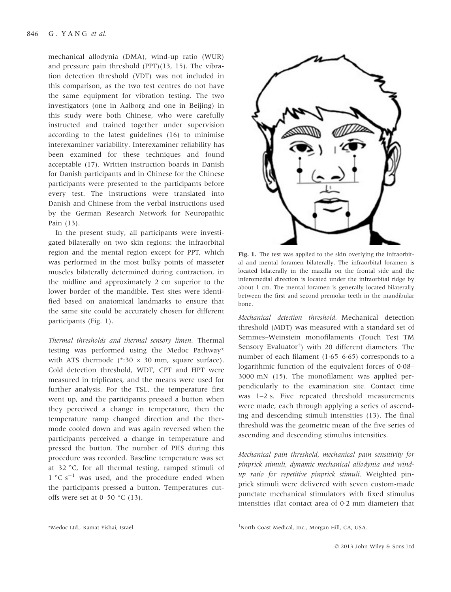mechanical allodynia (DMA), wind-up ratio (WUR) and pressure pain threshold (PPT)(13, 15). The vibration detection threshold (VDT) was not included in this comparison, as the two test centres do not have the same equipment for vibration testing. The two investigators (one in Aalborg and one in Beijing) in this study were both Chinese, who were carefully instructed and trained together under supervision according to the latest guidelines (16) to minimise interexaminer variability. Interexaminer reliability has been examined for these techniques and found acceptable (17). Written instruction boards in Danish for Danish participants and in Chinese for the Chinese participants were presented to the participants before every test. The instructions were translated into Danish and Chinese from the verbal instructions used by the German Research Network for Neuropathic Pain (13).

In the present study, all participants were investigated bilaterally on two skin regions: the infraorbital region and the mental region except for PPT, which was performed in the most bulky points of masseter muscles bilaterally determined during contraction, in the midline and approximately 2 cm superior to the lower border of the mandible. Test sites were identified based on anatomical landmarks to ensure that the same site could be accurately chosen for different participants (Fig. 1).

Thermal thresholds and thermal sensory limen. Thermal testing was performed using the Medoc Pathway\* with ATS thermode (\*:30  $\times$  30 mm, square surface). Cold detection threshold, WDT, CPT and HPT were measured in triplicates, and the means were used for further analysis. For the TSL, the temperature first went up, and the participants pressed a button when they perceived a change in temperature, then the temperature ramp changed direction and the thermode cooled down and was again reversed when the participants perceived a change in temperature and pressed the button. The number of PHS during this procedure was recorded. Baseline temperature was set at 32 °C, for all thermal testing, ramped stimuli of  $1 \degree C \space s^{-1}$  was used, and the procedure ended when the participants pressed a button. Temperatures cutoffs were set at 0–50  $\degree$ C (13).



Fig. 1. The test was applied to the skin overlying the infraorbital and mental foramen bilaterally. The infraorbital foramen is located bilaterally in the maxilla on the frontal side and the inferomedial direction is located under the infraorbital ridge by about 1 cm. The mental foramen is generally located bilaterally between the first and second premolar teeth in the mandibular bone.

Mechanical detection threshold. Mechanical detection threshold (MDT) was measured with a standard set of Semmes–Weinstein monofilaments (Touch Test TM Sensory Evaluator† ) with 20 different diameters. The number of each filament  $(1.65-6.65)$  corresponds to a logarithmic function of the equivalent forces of  $0.08-$ 3000 mN (15). The monofilament was applied perpendicularly to the examination site. Contact time was 1–2 s. Five repeated threshold measurements were made, each through applying a series of ascending and descending stimuli intensities (13). The final threshold was the geometric mean of the five series of ascending and descending stimulus intensities.

Mechanical pain threshold, mechanical pain sensitivity for pinprick stimuli, dynamic mechanical allodynia and windup ratio for repetitive pinprick stimuli. Weighted pinprick stimuli were delivered with seven custom-made punctate mechanical stimulators with fixed stimulus intensities (flat contact area of 02 mm diameter) that

North Coast Medical, Inc., Morgan Hill, CA, USA.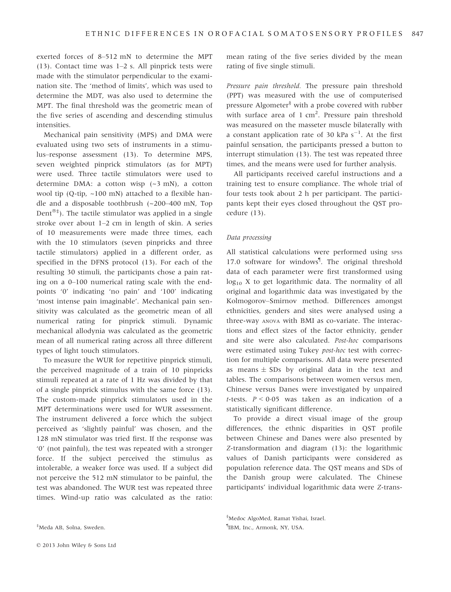exerted forces of 8–512 mN to determine the MPT (13). Contact time was 1–2 s. All pinprick tests were made with the stimulator perpendicular to the examination site. The 'method of limits', which was used to determine the MDT, was also used to determine the MPT. The final threshold was the geometric mean of the five series of ascending and descending stimulus intensities.

Mechanical pain sensitivity (MPS) and DMA were evaluated using two sets of instruments in a stimulus–response assessment (13). To determine MPS, seven weighted pinprick stimulators (as for MPT) were used. Three tactile stimulators were used to determine DMA: a cotton wisp (~3 mN), a cotton wool tip (Q-tip, ~100 mN) attached to a flexible handle and a disposable toothbrush (~200–400 mN, Top Dent $^{\circledast \dagger}$ ). The tactile stimulator was applied in a single stroke over about 1–2 cm in length of skin. A series of 10 measurements were made three times, each with the 10 stimulators (seven pinpricks and three tactile stimulators) applied in a different order, as specified in the DFNS protocol (13). For each of the resulting 30 stimuli, the participants chose a pain rating on a 0–100 numerical rating scale with the endpoints '0' indicating 'no pain' and '100' indicating 'most intense pain imaginable'. Mechanical pain sensitivity was calculated as the geometric mean of all numerical rating for pinprick stimuli. Dynamic mechanical allodynia was calculated as the geometric mean of all numerical rating across all three different types of light touch stimulators.

To measure the WUR for repetitive pinprick stimuli, the perceived magnitude of a train of 10 pinpricks stimuli repeated at a rate of 1 Hz was divided by that of a single pinprick stimulus with the same force (13). The custom-made pinprick stimulators used in the MPT determinations were used for WUR assessment. The instrument delivered a force which the subject perceived as 'slightly painful' was chosen, and the 128 mN stimulator was tried first. If the response was '0' (not painful), the test was repeated with a stronger force. If the subject perceived the stimulus as intolerable, a weaker force was used. If a subject did not perceive the 512 mN stimulator to be painful, the test was abandoned. The WUR test was repeated three times. Wind-up ratio was calculated as the ratio:

‡ Meda AB, Solna, Sweden.

mean rating of the five series divided by the mean rating of five single stimuli.

Pressure pain threshold. The pressure pain threshold (PPT) was measured with the use of computerised pressure Algometer§ with a probe covered with rubber with surface area of 1 cm<sup>2</sup>. Pressure pain threshold was measured on the masseter muscle bilaterally with a constant application rate of 30 kPa  $s^{-1}$ . At the first painful sensation, the participants pressed a button to interrupt stimulation (13). The test was repeated three times, and the means were used for further analysis.

All participants received careful instructions and a training test to ensure compliance. The whole trial of four tests took about 2 h per participant. The participants kept their eyes closed throughout the QST procedure (13).

#### Data processing

All statistical calculations were performed using spss 17.0 software for windows¶ . The original threshold data of each parameter were first transformed using  $log_{10} X$  to get logarithmic data. The normality of all original and logarithmic data was investigated by the Kolmogorov–Smirnov method. Differences amongst ethnicities, genders and sites were analysed using a three-way ANOVA with BMI as co-variate. The interactions and effect sizes of the factor ethnicity, gender and site were also calculated. Post-hoc comparisons were estimated using Tukey post-hoc test with correction for multiple comparisons. All data were presented as means  $\pm$  SDs by original data in the text and tables. The comparisons between women versus men, Chinese versus Danes were investigated by unpaired t-tests.  $P < 0.05$  was taken as an indication of a statistically significant difference.

To provide a direct visual image of the group differences, the ethnic disparities in QST profile between Chinese and Danes were also presented by Z-transformation and diagram (13): the logarithmic values of Danish participants were considered as population reference data. The QST means and SDs of the Danish group were calculated. The Chinese participants' individual logarithmic data were Z-trans-

§ Medoc AlgoMed, Ramat Yishai, Israel. ¶ IBM, Inc., Armonk, NY, USA.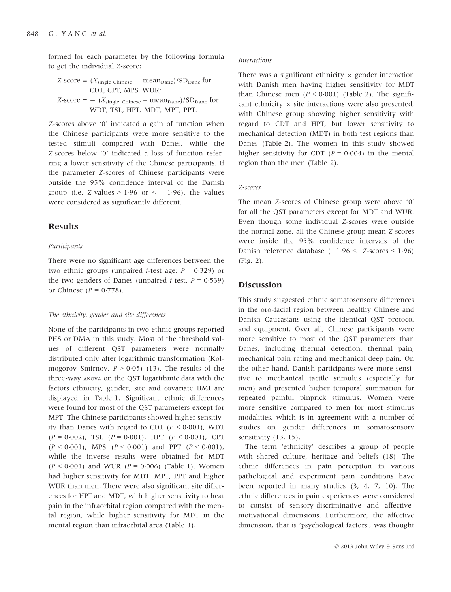formed for each parameter by the following formula to get the individual Z-score:

$$
Z\text{-score} = (X_{\text{single Chinese}} - \text{mean}_{\text{Dane}})/SD_{\text{Dane}} \text{ for } CDT, CPT, MPS, WUR; \quad Z\text{-score} = -(X_{\text{single Chinese}} - \text{mean}_{\text{Dane}})/SD_{\text{Dane}} \text{ for } WDT, TSL, HPT, MDT, MPT, PPT.
$$

Z-scores above '0' indicated a gain of function when the Chinese participants were more sensitive to the tested stimuli compared with Danes, while the Z-scores below '0' indicated a loss of function referring a lower sensitivity of the Chinese participants. If the parameter Z-scores of Chinese participants were outside the 95% confidence interval of the Danish group (i.e. Z-values  $> 1.96$  or  $<-1.96$ ), the values were considered as significantly different.

## Results

#### Participants

There were no significant age differences between the two ethnic groups (unpaired *t*-test age:  $P = 0.329$ ) or the two genders of Danes (unpaired *t*-test,  $P = 0.539$ ) or Chinese ( $P = 0.778$ ).

## The ethnicity, gender and site differences

None of the participants in two ethnic groups reported PHS or DMA in this study. Most of the threshold values of different QST parameters were normally distributed only after logarithmic transformation (Kolmogorov–Smirnov,  $P > 0.05$  (13). The results of the three-way ANOVA on the QST logarithmic data with the factors ethnicity, gender, site and covariate BMI are displayed in Table 1. Significant ethnic differences were found for most of the QST parameters except for MPT. The Chinese participants showed higher sensitivity than Danes with regard to CDT ( $P < 0.001$ ), WDT  $(P = 0.002)$ , TSL  $(P = 0.001)$ , HPT  $(P < 0.001)$ , CPT  $(P < 0.001)$ , MPS  $(P < 0.001)$  and PPT  $(P < 0.001)$ , while the inverse results were obtained for MDT  $(P < 0.001)$  and WUR  $(P = 0.006)$  (Table 1). Women had higher sensitivity for MDT, MPT, PPT and higher WUR than men. There were also significant site differences for HPT and MDT, with higher sensitivity to heat pain in the infraorbital region compared with the mental region, while higher sensitivity for MDT in the mental region than infraorbital area (Table 1).

#### Interactions

There was a significant ethnicity  $\times$  gender interaction with Danish men having higher sensitivity for MDT than Chinese men  $(P < 0.001)$  (Table 2). The significant ethnicity  $\times$  site interactions were also presented, with Chinese group showing higher sensitivity with regard to CDT and HPT, but lower sensitivity to mechanical detection (MDT) in both test regions than Danes (Table 2). The women in this study showed higher sensitivity for CDT ( $P = 0.004$ ) in the mental region than the men (Table 2).

#### Z-scores

The mean Z-scores of Chinese group were above '0' for all the QST parameters except for MDT and WUR. Even though some individual Z-scores were outside the normal zone, all the Chinese group mean Z-scores were inside the 95% confidence intervals of the Danish reference database  $(-1.96 < Z$ -scores  $\leq 1.96$ ) (Fig. 2).

## **Discussion**

This study suggested ethnic somatosensory differences in the oro-facial region between healthy Chinese and Danish Caucasians using the identical QST protocol and equipment. Over all, Chinese participants were more sensitive to most of the QST parameters than Danes, including thermal detection, thermal pain, mechanical pain rating and mechanical deep pain. On the other hand, Danish participants were more sensitive to mechanical tactile stimulus (especially for men) and presented higher temporal summation for repeated painful pinprick stimulus. Women were more sensitive compared to men for most stimulus modalities, which is in agreement with a number of studies on gender differences in somatosensory sensitivity (13, 15).

The term 'ethnicity' describes a group of people with shared culture, heritage and beliefs (18). The ethnic differences in pain perception in various pathological and experiment pain conditions have been reported in many studies (3, 4, 7, 10). The ethnic differences in pain experiences were considered to consist of sensory-discriminative and affectivemotivational dimensions. Furthermore, the affective dimension, that is 'psychological factors', was thought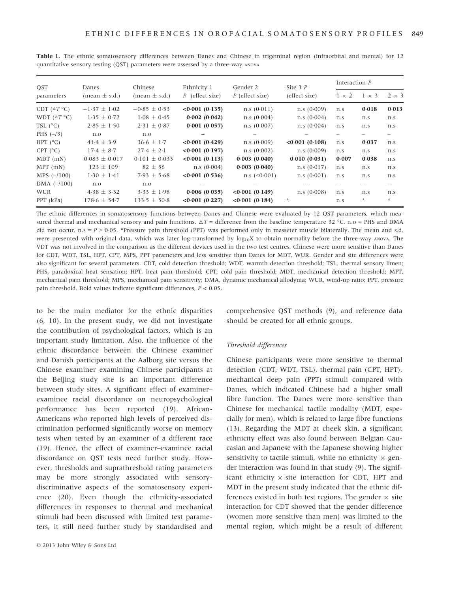| <b>OST</b><br>parameters | Danes<br>$(\text{mean} \pm \text{s.d.})$ | Chinese<br>$(\text{mean} \pm \text{s.d.})$ | Ethnicity 1<br>$P$ (effect size) | Gender 2<br>P (effect size) | Site $3P$<br>(effect size) | Interaction $P$ |              |              |
|--------------------------|------------------------------------------|--------------------------------------------|----------------------------------|-----------------------------|----------------------------|-----------------|--------------|--------------|
|                          |                                          |                                            |                                  |                             |                            | $1 \times 2$    | $1 \times 3$ | $2 \times 3$ |
| CDT $(^{\triangle}T$ °C) | $-1.37 \pm 1.02$                         | $-0.85 \pm 0.53$                           | <0.001(0.135)                    | n.s(0.011)                  | n.s(0.009)                 | n.s             | 0.018        | 0.013        |
| WDT $(^{\triangle}T$ °C) | $1.35 \pm 0.72$                          | $1.08 \pm 0.45$                            | 0.002(0.042)                     | n.s(0.004)                  | n.s(0.004)                 | n.s             | n.s          | n.s          |
| TSL $(^{\circ}C)$        | $2.85 \pm 1.50$                          | $2.31 \pm 0.87$                            | 0.001(0.057)                     | n.s. (0.007)                | n.s(0.004)                 | n.s             | n.s          | n.s          |
| PHS $(-/3)$              | n.o                                      | n.o                                        |                                  |                             |                            |                 |              |              |
| HPT $(^{\circ}C)$        | $41.4 \pm 3.9$                           | $36.6 \pm 1.7$                             | <0.001(0.429)                    | n.s(0.009)                  | $< 0.001$ (0.108)          | n.s             | 0.037        | n.s          |
| CPT $(^{\circ}C)$        | $17.4 \pm 8.7$                           | $27.4 \pm 2.1$                             | <0.001(0.197)                    | n.s(0.002)                  | n.s(0.009)                 | n.s             | n.s          | n.s          |
| $MDT$ (mN)               | $0.083 \pm 0.017$                        | $0.101 \pm 0.033$                          | <0.001(0.113)                    | 0.003(0.040)                | 0.010(0.031)               | 0.007           | 0.038        | n.s          |
| $MPT$ (mN)               | $123 \pm 109$                            | $82 \pm 56$                                | n.s(0.004)                       | 0.003(0.040)                | n.s. (0.017)               | n.s             | n.s          | n.s          |
| $MPS$ (-/100)            | $1.30 \pm 1.41$                          | $7.93 \pm 5.68$                            | <0.001(0.536)                    | $n.s$ (<0.001)              | n.s(0.001)                 | n.s             | n.s          | n.s          |
| $DMA$ $(-/100)$          | n.o                                      | n.o                                        |                                  |                             |                            |                 |              |              |
| <b>WUR</b>               | $4.38 \pm 3.32$                          | $3.33 \pm 1.98$                            | 0.006(0.035)                     | <0.001(0.149)               | n.s. (0.008)               | n.s             | n.s          | n.s          |
| PPT (kPa)                | $178.6 \pm 54.7$                         | $133.5 \pm 50.8$                           | <0.001(0.227)                    | <0.001(0.184)               | $\ast$                     | n.s             | $\star$      | $\star$      |

Table 1. The ethnic somatosensory differences between Danes and Chinese in trigeminal region (infraorbital and mental) for 12 quantitative sensory testing (QST) parameters were assessed by a three-way ANOVA

The ethnic differences in somatosensory functions between Danes and Chinese were evaluated by 12 QST parameters, which measured thermal and mechanical sensory and pain functions.  $\Delta T =$  difference from the baseline temperature 32 °C. n.o = PHS and DMA did not occur. n.s =  $P > 0.05$ . \*Pressure pain threshold (PPT) was performed only in masseter muscle bilaterally. The mean and s.d. were presented with original data, which was later log-transformed by  $log_{10}X$  to obtain normality before the three-way ANOVA. The VDT was not involved in the comparison as the different devices used in the two test centres. Chinese were more sensitive than Danes for CDT, WDT, TSL, HPT, CPT, MPS, PPT parameters and less sensitive than Danes for MDT, WUR. Gender and site differences were also significant for several parameters. CDT, cold detection threshold; WDT, warmth detection threshold; TSL, thermal sensory limen; PHS, paradoxical heat sensation; HPT, heat pain threshold; CPT, cold pain threshold; MDT, mechanical detection threshold; MPT, mechanical pain threshold; MPS, mechanical pain sensitivity; DMA, dynamic mechanical allodynia; WUR, wind-up ratio; PPT, pressure pain threshold. Bold values indicate significant differences, P < 0.05.

to be the main mediator for the ethnic disparities (6, 10). In the present study, we did not investigate the contribution of psychological factors, which is an important study limitation. Also, the influence of the ethnic discordance between the Chinese examiner and Danish participants at the Aalborg site versus the Chinese examiner examining Chinese participants at the Beijing study site is an important difference between study sites. A significant effect of examiner– examinee racial discordance on neuropsychological performance has been reported (19). African-Americans who reported high levels of perceived discrimination performed significantly worse on memory tests when tested by an examiner of a different race (19). Hence, the effect of examiner–examinee racial discordance on QST tests need further study. However, thresholds and suprathreshold rating parameters may be more strongly associated with sensorydiscriminative aspects of the somatosensory experience (20). Even though the ethnicity-associated differences in responses to thermal and mechanical stimuli had been discussed with limited test parameters, it still need further study by standardised and comprehensive QST methods (9), and reference data should be created for all ethnic groups.

#### Threshold differences

Chinese participants were more sensitive to thermal detection (CDT, WDT, TSL), thermal pain (CPT, HPT), mechanical deep pain (PPT) stimuli compared with Danes, which indicated Chinese had a higher small fibre function. The Danes were more sensitive than Chinese for mechanical tactile modality (MDT, especially for men), which is related to large fibre functions (13). Regarding the MDT at cheek skin, a significant ethnicity effect was also found between Belgian Caucasian and Japanese with the Japanese showing higher sensitivity to tactile stimuli, while no ethnicity  $\times$  gender interaction was found in that study (9). The significant ethnicity  $\times$  site interaction for CDT, HPT and MDT in the present study indicated that the ethnic differences existed in both test regions. The gender  $\times$  site interaction for CDT showed that the gender difference (women more sensitive than men) was limited to the mental region, which might be a result of different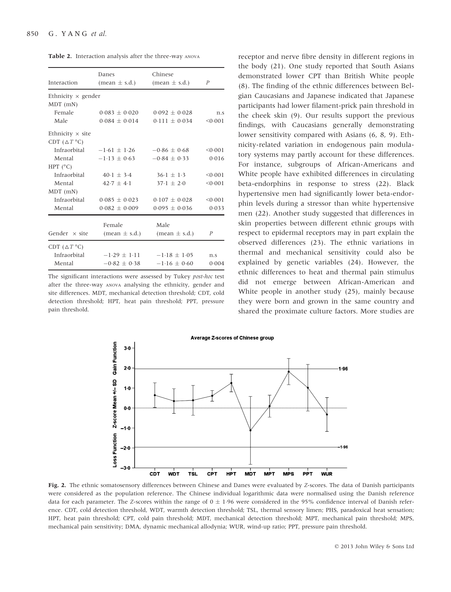| <b>Table 2.</b> Interaction analysis after the three-way ANOVA |  |  |  |  |
|----------------------------------------------------------------|--|--|--|--|
|----------------------------------------------------------------|--|--|--|--|

|                           | Danes                           | Chinese                         |                  |
|---------------------------|---------------------------------|---------------------------------|------------------|
| Interaction               | $(\text{mean} \pm \text{s.d.})$ | $(\text{mean} \pm \text{s.d.})$ | $\boldsymbol{P}$ |
| Ethnicity $\times$ gender |                                 |                                 |                  |
| MDT (mN)                  |                                 |                                 |                  |
| Female                    | $0.083 \pm 0.020$               | $0.092 + 0.028$                 | n.s              |
| Male                      | $0.084 + 0.014$                 | $0.111 + 0.034$                 | < 0.001          |
| Ethnicity $\times$ site   |                                 |                                 |                  |
| CDT $(\Delta T^{\circ}C)$ |                                 |                                 |                  |
| Infraorbital              | $-1.61 \pm 1.26$                | $-0.86 \pm 0.68$                | < 0.001          |
| Mental                    | $-1.13 \pm 0.63$                | $-0.84 \pm 0.33$                | 0.016            |
| HPT $(^{\circ}C)$         |                                 |                                 |                  |
| Infraorbital              | $40 \cdot 1 + 3 \cdot 4$        | $36.1 + 1.3$                    | < 0.001          |
| Mental                    | $42.7 + 4.1$                    | $37.1 + 2.0$                    | < 0.001          |
| $MDT$ (mN)                |                                 |                                 |                  |
| Infraorbital              | $0.085 \pm 0.023$               | $0.107 + 0.028$                 | < 0.001          |
| Mental                    | $0.082 \pm 0.009$               | $0.095 \pm 0.036$               | 0.033            |
|                           | Female                          | Male                            |                  |
| Gender $\times$ site      | $(\text{mean} \pm \text{s.d.})$ | $(\text{mean} \pm \text{s.d.})$ | $\overline{P}$   |
|                           |                                 |                                 |                  |
| CDT ( $\triangle T$ °C)   |                                 |                                 |                  |
| Infraorbital              | $-1.29 + 1.11$                  | $-1.18 + 1.05$                  | n.s              |
| Mental                    | $-0.82 + 0.38$                  | $-1.16 + 0.60$                  | 0.004            |
|                           |                                 |                                 |                  |

The significant interactions were assessed by Tukey post-hoc test after the three-way ANOVA analysing the ethnicity, gender and site differences. MDT, mechanical detection threshold; CDT, cold detection threshold; HPT, heat pain threshold; PPT, pressure pain threshold.

receptor and nerve fibre density in different regions in the body (21). One study reported that South Asians demonstrated lower CPT than British White people (8). The finding of the ethnic differences between Belgian Caucasians and Japanese indicated that Japanese participants had lower filament-prick pain threshold in the cheek skin (9). Our results support the previous findings, with Caucasians generally demonstrating lower sensitivity compared with Asians (6, 8, 9). Ethnicity-related variation in endogenous pain modulatory systems may partly account for these differences. For instance, subgroups of African-Americans and White people have exhibited differences in circulating beta-endorphins in response to stress (22). Black hypertensive men had significantly lower beta-endorphin levels during a stressor than white hypertensive men (22). Another study suggested that differences in skin properties between different ethnic groups with respect to epidermal receptors may in part explain the observed differences (23). The ethnic variations in thermal and mechanical sensitivity could also be explained by genetic variables (24). However, the ethnic differences to heat and thermal pain stimulus did not emerge between African-American and White people in another study (25), mainly because they were born and grown in the same country and shared the proximate culture factors. More studies are



Fig. 2. The ethnic somatosensory differences between Chinese and Danes were evaluated by Z-scores. The data of Danish participants were considered as the population reference. The Chinese individual logarithmic data were normalised using the Danish reference data for each parameter. The Z-scores within the range of  $0 \pm 1.96$  were considered in the 95% confidence interval of Danish reference. CDT, cold detection threshold, WDT, warmth detection threshold; TSL, thermal sensory limen; PHS, paradoxical heat sensation; HPT, heat pain threshold; CPT, cold pain threshold; MDT, mechanical detection threshold; MPT, mechanical pain threshold; MPS, mechanical pain sensitivity; DMA, dynamic mechanical allodynia; WUR, wind-up ratio; PPT, pressure pain threshold.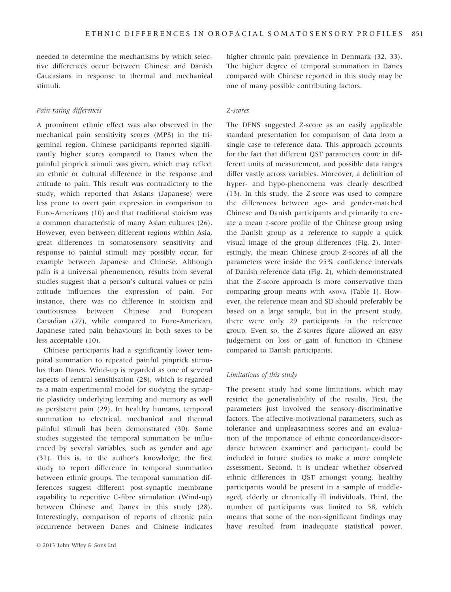needed to determine the mechanisms by which selective differences occur between Chinese and Danish Caucasians in response to thermal and mechanical stimuli.

## Pain rating differences

A prominent ethnic effect was also observed in the mechanical pain sensitivity scores (MPS) in the trigeminal region. Chinese participants reported significantly higher scores compared to Danes when the painful pinprick stimuli was given, which may reflect an ethnic or cultural difference in the response and attitude to pain. This result was contradictory to the study, which reported that Asians (Japanese) were less prone to overt pain expression in comparison to Euro-Americans (10) and that traditional stoicism was a common characteristic of many Asian cultures (26). However, even between different regions within Asia, great differences in somatosensory sensitivity and response to painful stimuli may possibly occur, for example between Japanese and Chinese. Although pain is a universal phenomenon, results from several studies suggest that a person's cultural values or pain attitude influences the expression of pain. For instance, there was no difference in stoicism and cautiousness between Chinese and European Canadian (27), while compared to Euro-American, Japanese rated pain behaviours in both sexes to be less acceptable (10).

Chinese participants had a significantly lower temporal summation to repeated painful pinprick stimulus than Danes. Wind-up is regarded as one of several aspects of central sensitisation (28), which is regarded as a main experimental model for studying the synaptic plasticity underlying learning and memory as well as persistent pain (29). In healthy humans, temporal summation to electrical, mechanical and thermal painful stimuli has been demonstrated (30). Some studies suggested the temporal summation be influenced by several variables, such as gender and age (31). This is, to the author's knowledge, the first study to report difference in temporal summation between ethnic groups. The temporal summation differences suggest different post-synaptic membrane capability to repetitive C-fibre stimulation (Wind-up) between Chinese and Danes in this study (28). Interestingly, comparison of reports of chronic pain occurrence between Danes and Chinese indicates

higher chronic pain prevalence in Denmark (32, 33). The higher degree of temporal summation in Danes compared with Chinese reported in this study may be one of many possible contributing factors.

## Z-scores

The DFNS suggested Z-score as an easily applicable standard presentation for comparison of data from a single case to reference data. This approach accounts for the fact that different QST parameters come in different units of measurement, and possible data ranges differ vastly across variables. Moreover, a definition of hyper- and hypo-phenomena was clearly described (13). In this study, the Z-score was used to compare the differences between age- and gender-matched Chinese and Danish participants and primarily to create a mean z-score profile of the Chinese group using the Danish group as a reference to supply a quick visual image of the group differences (Fig. 2). Interestingly, the mean Chinese group Z-scores of all the parameters were inside the 95% confidence intervals of Danish reference data (Fig. 2), which demonstrated that the Z-score approach is more conservative than comparing group means with ANOVA (Table 1). However, the reference mean and SD should preferably be based on a large sample, but in the present study, there were only 29 participants in the reference group. Even so, the Z-scores figure allowed an easy judgement on loss or gain of function in Chinese compared to Danish participants.

## Limitations of this study

The present study had some limitations, which may restrict the generalisability of the results. First, the parameters just involved the sensory-discriminative factors. The affective-motivational parameters, such as tolerance and unpleasantness scores and an evaluation of the importance of ethnic concordance/discordance between examiner and participant, could be included in future studies to make a more complete assessment. Second, it is unclear whether observed ethnic differences in QST amongst young, healthy participants would be present in a sample of middleaged, elderly or chronically ill individuals. Third, the number of participants was limited to 58, which means that some of the non-significant findings may have resulted from inadequate statistical power.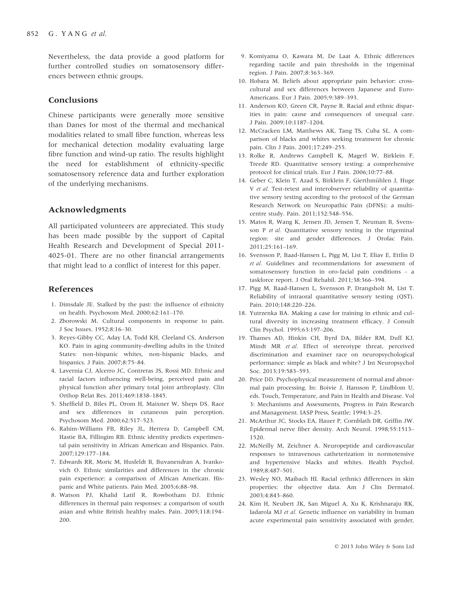Nevertheless, the data provide a good platform for further controlled studies on somatosensory differences between ethnic groups.

# Conclusions

Chinese participants were generally more sensitive than Danes for most of the thermal and mechanical modalities related to small fibre function, whereas less for mechanical detection modality evaluating large fibre function and wind-up ratio. The results highlight the need for establishment of ethnicity-specific somatosensory reference data and further exploration of the underlying mechanisms.

# Acknowledgments

All participated volunteers are appreciated. This study has been made possible by the support of Capital Health Research and Development of Special 2011- 4025-01. There are no other financial arrangements that might lead to a conflict of interest for this paper.

# References

- 1. Dimsdale JE. Stalked by the past: the influence of ethnicity on health. Psychosom Med. 2000;62:161–170.
- 2. Zborowski M. Cultural components in response to pain. J Soc Issues. 1952;8:16–30.
- 3. Reyes-Gibby CC, Aday LA, Todd KH, Cleeland CS, Anderson KO. Pain in aging community-dwelling adults in the United States: non-hispanic whites, non-hispanic blacks, and hispanics. J Pain. 2007;8:75–84.
- 4. Lavernia CJ, Alcerro JC, Contreras JS, Rossi MD. Ethnic and racial factors influencing well-being, perceived pain and physical function after primary total joint arthroplasty. Clin Orthop Relat Res. 2011;469:1838–1845.
- 5. Sheffield D, Biles PL, Orom H, Maixner W, Sheps DS. Race and sex differences in cutaneous pain perception. Psychosom Med. 2000;62:517–523.
- 6. Rahim-Williams FB, Riley JL, Herrera D, Campbell CM, Hastie BA, Fillingim RB. Ethnic identity predicts experimental pain sensitivity in African American and Hispanics. Pain. 2007;129:177–184.
- 7. Edwards RR, Moric M, Husfeldt B, Buvanendran A, Ivankovich O. Ethnic similarities and differences in the chronic pain experience: a comparison of African American. Hispanic and White patients. Pain Med. 2005;6:88–98.
- 8. Watson PJ, Khalid Latif R, Rowbotham DJ. Ethnic differences in thermal pain responses: a comparison of south asian and white British healthy males. Pain. 2005;118:194– 200.
- 9. Komiyama O, Kawara M, De Laat A. Ethnic differences regarding tactile and pain thresholds in the trigeminal region. J Pain. 2007;8:363–369.
- 10. Hobara M. Beliefs about appropriate pain behavior: crosscultural and sex differences between Japanese and Euro-Americans. Eur J Pain. 2005;9:389–393.
- 11. Anderson KO, Green CR, Payne R. Racial and ethnic disparities in pain: cause and consequences of unequal care. J Pain. 2009;10:1187–1204.
- 12. McCracken LM, Matthews AK, Tang TS, Cuba SL. A comparison of blacks and whites seeking treatment for chronic pain. Clin J Pain. 2001;17:249–255.
- 13. Rolke R, Andrews Campbell K, Magerl W, Birklein F, Treede RD. Quantitative sensory testing: a comprehensive protocol for clinical trials. Eur J Pain. 2006;10:77–88.
- 14. Geber C, Klein T, Azad S, Birklein F, Gierthmühlen J, Huge V et al. Test-retest and interobserver reliability of quantitative sensory testing according to the protocol of the German Research Network on Neuropathic Pain (DFNS): a multicentre study. Pain. 2011;152:548–556.
- 15. Matos R, Wang K, Jensen JD, Jensen T, Neuman B, Svensson P et al. Quantitative sensory testing in the trigeminal region: site and gender differences. J Orofac Pain. 2011;25:161–169.
- 16. Svensson P, Baad-Hansen L, Pigg M, List T, Eliav E, Ettlin D et al. Guidelines and recommendations for assessment of somatosensory function in oro-facial pain conditions – a taskforce report. J Oral Rehabil. 2011;38:366–394.
- 17. Pigg M, Baad-Hansen L, Svensson P, Drangsholt M, List T. Reliability of intraoral quantitative sensory testing (QST). Pain. 2010;148:220–226.
- 18. Yutrzenka BA. Making a case for training in ethnic and cultural diversity in increasing treatment efficacy. J Consult Clin Psychol. 1995;63:197–206.
- 19. Thames AD, Hinkin CH, Byrd DA, Bilder RM, Duff KJ, Mindt MR et al. Effect of stereotype threat, perceived discrimination and examiner race on neuropsychological performance: simple as black and white? J Int Neuropsychol Soc. 2013;19:583–593.
- 20. Price DD. Psychophysical measurement of normal and abnormal pain processing. In: Boivie J, Hansson P, Lindblom U, eds. Touch, Temperature, and Pain in Health and Disease. Vol 3: Mechanisms and Assessments, Progress in Pain Research and Management. IASP Press, Seattle; 1994:3–25.
- 21. McArthur JC, Stocks EA, Hauer P, Cornblath DR, Griffin JW. Epidermal nerve fiber density. Arch Neurol. 1998;55:1513– 1520.
- 22. McNeilly M, Zeichner A. Neuropeptide and cardiovascular responses to intravenous catheterization in normotensive and hypertensive blacks and whites. Health Psychol. 1989;8:487–501.
- 23. Wesley NO, Maibach HI. Racial (ethnic) differences in skin properties: the objective data. Am J Clin Dermatol. 2003;4:843–860.
- 24. Kim H, Neubert JK, San Miguel A, Xu K, Krishnaraju RK, Iadarola MJ et al. Genetic influence on variability in human acute experimental pain sensitivity associated with gender,